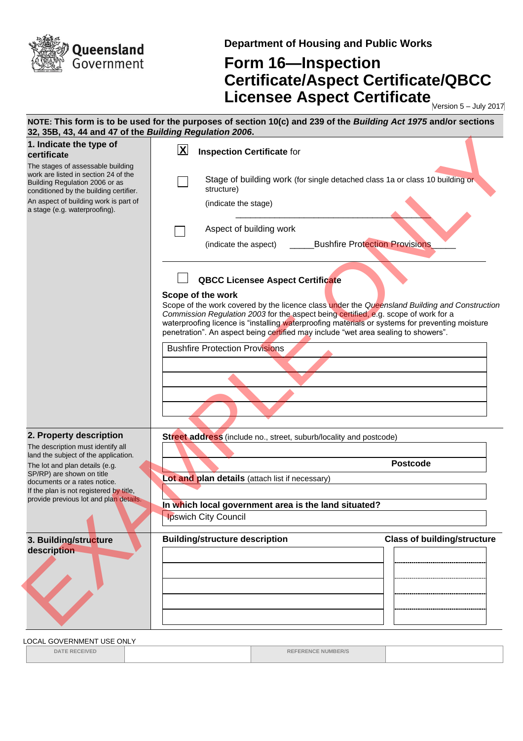

**Department of Housing and Public Works**

## **Form 16—Inspection Certificate/Aspect Certificate/QBCC Licensee Aspect Certificate** Mersion 5-July 2017

| 1. Indicate the type of<br>certificate                                                                                                                | $\overline{\mathbf{X}}$<br><b>Inspection Certificate for</b>                                                                                                                                                                                                                                                                                                                                       |
|-------------------------------------------------------------------------------------------------------------------------------------------------------|----------------------------------------------------------------------------------------------------------------------------------------------------------------------------------------------------------------------------------------------------------------------------------------------------------------------------------------------------------------------------------------------------|
| The stages of assessable building<br>work are listed in section 24 of the<br>Building Regulation 2006 or as<br>conditioned by the building certifier. | Stage of building work (for single detached class 1a or class 10 building or<br>structure)                                                                                                                                                                                                                                                                                                         |
| An aspect of building work is part of<br>a stage (e.g. waterproofing).                                                                                | (indicate the stage)                                                                                                                                                                                                                                                                                                                                                                               |
|                                                                                                                                                       | Aspect of building work                                                                                                                                                                                                                                                                                                                                                                            |
|                                                                                                                                                       | <b>Bushfire Protection Provisions</b><br>(indicate the aspect)                                                                                                                                                                                                                                                                                                                                     |
|                                                                                                                                                       | <b>QBCC Licensee Aspect Certificate</b>                                                                                                                                                                                                                                                                                                                                                            |
|                                                                                                                                                       | Scope of the work<br>Scope of the work covered by the licence class under the Queensland Building and Construction<br>Commission Regulation 2003 for the aspect being certified, e.g. scope of work for a<br>waterproofing licence is "installing waterproofing materials or systems for preventing moisture<br>penetration". An aspect being certified may include "wet area sealing to showers". |
|                                                                                                                                                       | <b>Bushfire Protection Provisions</b>                                                                                                                                                                                                                                                                                                                                                              |
|                                                                                                                                                       |                                                                                                                                                                                                                                                                                                                                                                                                    |
|                                                                                                                                                       |                                                                                                                                                                                                                                                                                                                                                                                                    |
|                                                                                                                                                       |                                                                                                                                                                                                                                                                                                                                                                                                    |
| 2. Property description                                                                                                                               | Street address (include no., street, suburb/locality and postcode)                                                                                                                                                                                                                                                                                                                                 |
| The description must identify all                                                                                                                     |                                                                                                                                                                                                                                                                                                                                                                                                    |
| land the subject of the application.<br>The lot and plan details (e.g.                                                                                | <b>Postcode</b>                                                                                                                                                                                                                                                                                                                                                                                    |
| SP/RP) are shown on title<br>documents or a rates notice.                                                                                             | Lot and plan details (attach list if necessary)                                                                                                                                                                                                                                                                                                                                                    |
| If the plan is not registered by title.<br>provide previous lot and plan details.                                                                     |                                                                                                                                                                                                                                                                                                                                                                                                    |
|                                                                                                                                                       | In which local government area is the land situated?                                                                                                                                                                                                                                                                                                                                               |
|                                                                                                                                                       | <b>Ipswich City Council</b>                                                                                                                                                                                                                                                                                                                                                                        |
| 3. Building/structure                                                                                                                                 | <b>Class of building/structure</b><br><b>Building/structure description</b>                                                                                                                                                                                                                                                                                                                        |
| description                                                                                                                                           |                                                                                                                                                                                                                                                                                                                                                                                                    |
|                                                                                                                                                       |                                                                                                                                                                                                                                                                                                                                                                                                    |
|                                                                                                                                                       |                                                                                                                                                                                                                                                                                                                                                                                                    |
|                                                                                                                                                       |                                                                                                                                                                                                                                                                                                                                                                                                    |
|                                                                                                                                                       |                                                                                                                                                                                                                                                                                                                                                                                                    |
|                                                                                                                                                       |                                                                                                                                                                                                                                                                                                                                                                                                    |

## LOCAL GOVERNMENT USE ONLY